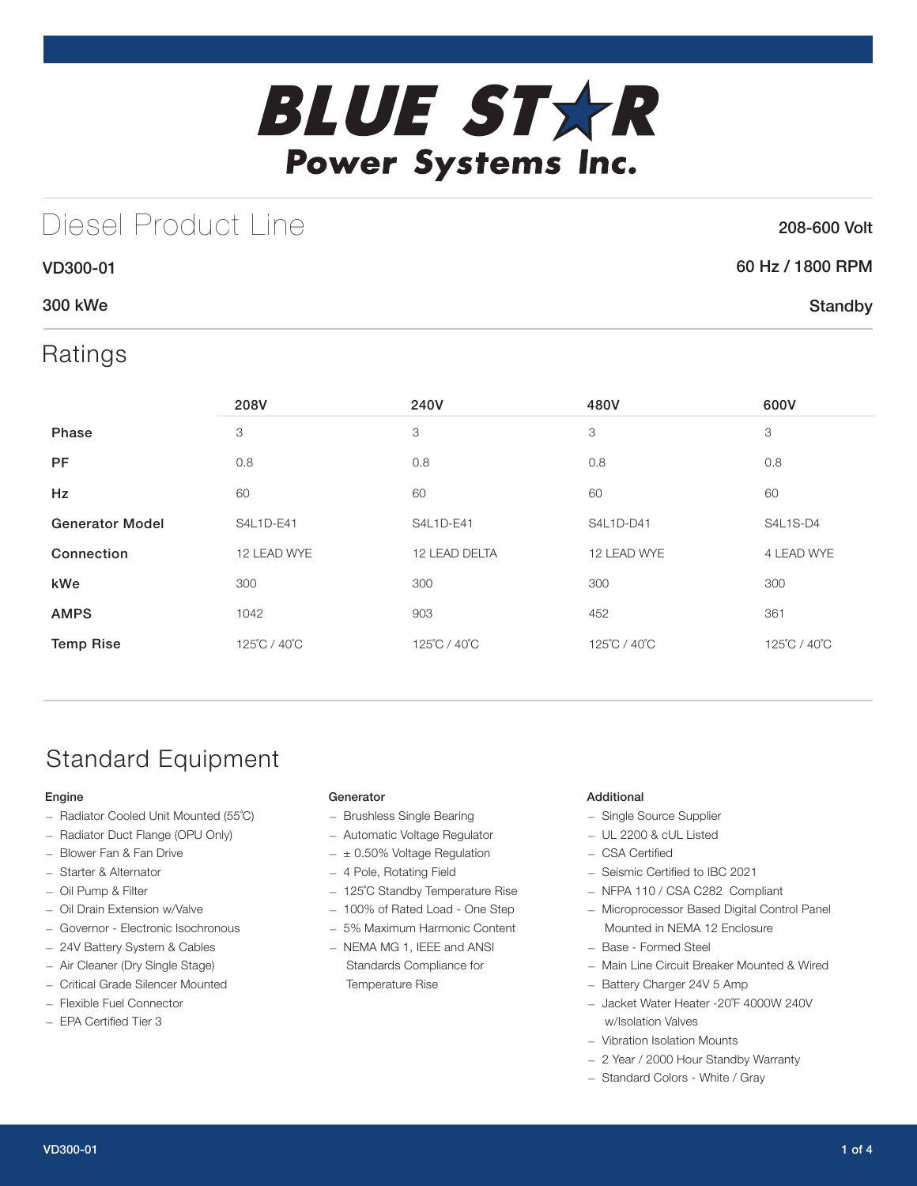

# Diesel Product Line

### 208-600 Volt

### 60 Hz / 1800 RPM

### 300 kWe

VD300-01

### **Standby**

### Ratings

|                        | 208V         | 240V          | 480V         | 600V         |
|------------------------|--------------|---------------|--------------|--------------|
| Phase                  | 3            | 3             | 3            | 3            |
| <b>PF</b>              | 0.8          | 0.8           | 0.8          | 0.8          |
| <b>Hz</b>              | 60           | 60            | 60           | 60           |
| <b>Generator Model</b> | S4L1D-E41    | S4L1D-E41     | S4L1D-D41    | S4L1S-D4     |
| Connection             | 12 LEAD WYE  | 12 LEAD DELTA | 12 LEAD WYE  | 4 LEAD WYE   |
| kWe                    | 300          | 300           | 300          | 300          |
| <b>AMPS</b>            | 1042         | 903           | 452          | 361          |
| <b>Temp Rise</b>       | 125°C / 40°C | 125°C / 40°C  | 125°C / 40°C | 125°C / 40°C |

# Standard Equipment

#### Engine

- Radiator Cooled Unit Mounted (55˚C)
- Radiator Duct Flange (OPU Only)
- Blower Fan & Fan Drive
- Starter & Alternator
- Oil Pump & Filter
- Oil Drain Extension w/Valve
- Governor Electronic Isochronous
- 24V Battery System & Cables
- Air Cleaner (Dry Single Stage)
- Critical Grade Silencer Mounted
- Flexible Fuel Connector
- EPA Certified Tier 3

#### Generator

- Brushless Single Bearing
- Automatic Voltage Regulator
- $\pm$  0.50% Voltage Regulation
- 4 Pole, Rotating Field
- 125˚C Standby Temperature Rise
- 100% of Rated Load One Step
- 5% Maximum Harmonic Content
- NEMA MG 1, IEEE and ANSI Standards Compliance for Temperature Rise

#### Additional

- Single Source Supplier
- UL 2200 & cUL Listed
- CSA Certified
- Seismic Certified to IBC 2021
- NFPA 110 / CSA C282 Compliant
- Microprocessor Based Digital Control Panel Mounted in NEMA 12 Enclosure
- Base Formed Steel
- Main Line Circuit Breaker Mounted & Wired
- Battery Charger 24V 5 Amp
- Jacket Water Heater -20˚F 4000W 240V w/Isolation Valves
- Vibration Isolation Mounts
- 2 Year / 2000 Hour Standby Warranty
- Standard Colors White / Gray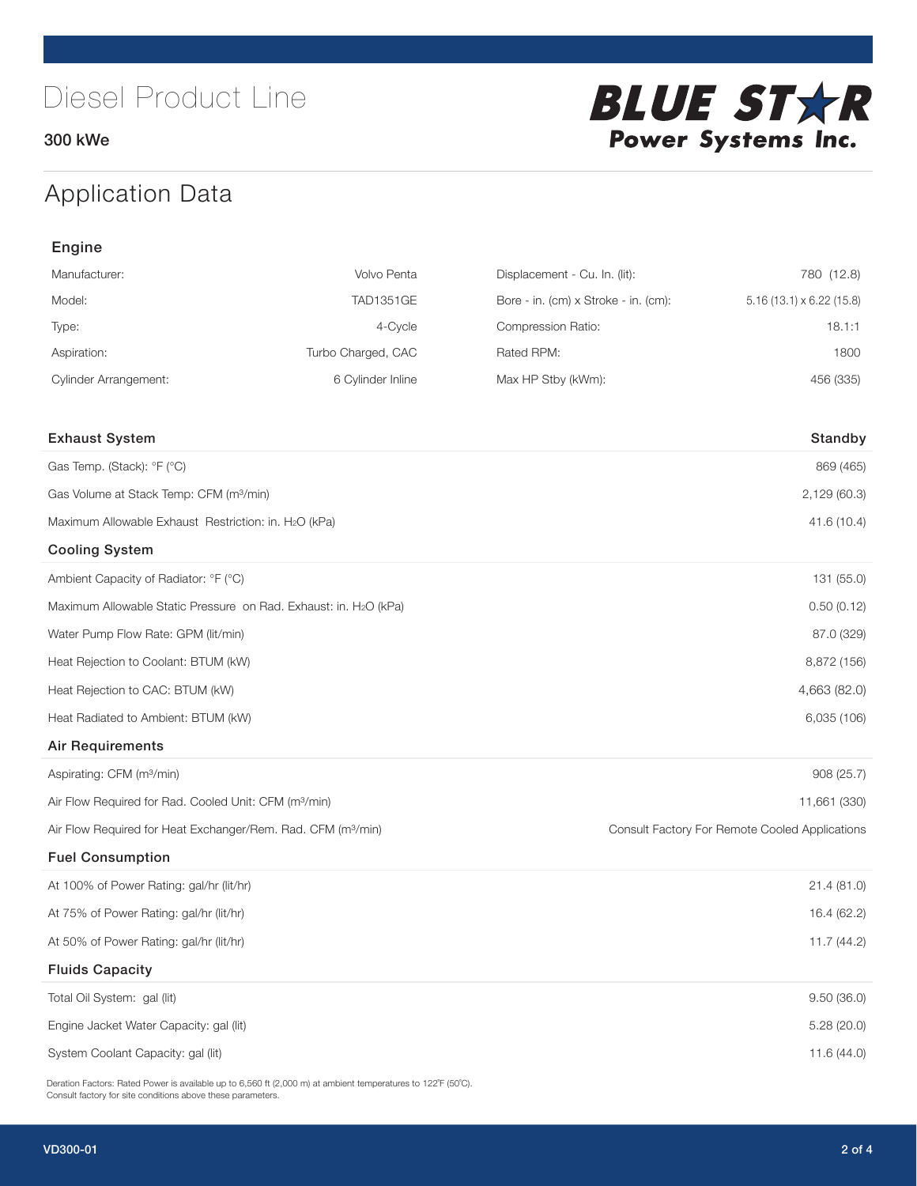300 kWe



## Application Data

| Engine                                                                   |                    |                                      |                                                |  |  |
|--------------------------------------------------------------------------|--------------------|--------------------------------------|------------------------------------------------|--|--|
| Manufacturer:                                                            | Volvo Penta        | Displacement - Cu. In. (lit):        | 780 (12.8)                                     |  |  |
| Model:                                                                   | <b>TAD1351GE</b>   | Bore - in. (cm) x Stroke - in. (cm): | $5.16(13.1) \times 6.22(15.8)$                 |  |  |
| Type:                                                                    | 4-Cycle            | Compression Ratio:                   | 18.1:1                                         |  |  |
| Aspiration:                                                              | Turbo Charged, CAC | Rated RPM:                           | 1800                                           |  |  |
| <b>Cylinder Arrangement:</b>                                             | 6 Cylinder Inline  | Max HP Stby (kWm):                   | 456 (335)                                      |  |  |
| <b>Exhaust System</b>                                                    |                    |                                      | Standby                                        |  |  |
| Gas Temp. (Stack): °F (°C)                                               |                    |                                      | 869 (465)                                      |  |  |
| Gas Volume at Stack Temp: CFM (m <sup>3</sup> /min)                      |                    |                                      | 2,129 (60.3)                                   |  |  |
| Maximum Allowable Exhaust Restriction: in. H2O (kPa)                     |                    |                                      | 41.6 (10.4)                                    |  |  |
| <b>Cooling System</b>                                                    |                    |                                      |                                                |  |  |
| Ambient Capacity of Radiator: °F (°C)                                    |                    |                                      | 131 (55.0)                                     |  |  |
| Maximum Allowable Static Pressure on Rad. Exhaust: in. H2O (kPa)         |                    |                                      | 0.50(0.12)                                     |  |  |
| Water Pump Flow Rate: GPM (lit/min)                                      |                    | 87.0 (329)                           |                                                |  |  |
| Heat Rejection to Coolant: BTUM (kW)                                     |                    |                                      | 8,872 (156)                                    |  |  |
| Heat Rejection to CAC: BTUM (kW)                                         |                    |                                      | 4,663 (82.0)                                   |  |  |
| Heat Radiated to Ambient: BTUM (kW)                                      |                    |                                      | 6,035 (106)                                    |  |  |
| <b>Air Requirements</b>                                                  |                    |                                      |                                                |  |  |
| Aspirating: CFM (m <sup>3</sup> /min)                                    |                    |                                      | 908 (25.7)                                     |  |  |
| Air Flow Required for Rad. Cooled Unit: CFM (m <sup>3</sup> /min)        |                    |                                      | 11,661 (330)                                   |  |  |
| Air Flow Required for Heat Exchanger/Rem. Rad. CFM (m <sup>3</sup> /min) |                    |                                      | Consult Factory For Remote Cooled Applications |  |  |
| <b>Fuel Consumption</b>                                                  |                    |                                      |                                                |  |  |
| At 100% of Power Rating: gal/hr (lit/hr)                                 |                    |                                      | 21.4(81.0)                                     |  |  |
| At 75% of Power Rating: gal/hr (lit/hr)                                  |                    |                                      | 16.4 (62.2)                                    |  |  |
| At 50% of Power Rating: gal/hr (lit/hr)                                  |                    |                                      | 11.7 (44.2)                                    |  |  |
| <b>Fluids Capacity</b>                                                   |                    |                                      |                                                |  |  |
| Total Oil System: gal (lit)                                              |                    |                                      | 9.50(36.0)                                     |  |  |
| Engine Jacket Water Capacity: gal (lit)                                  |                    |                                      | 5.28(20.0)                                     |  |  |
| System Coolant Capacity: gal (lit)                                       |                    |                                      | 11.6 (44.0)                                    |  |  |

Deration Factors: Rated Power is available up to 6,560 ft (2,000 m) at ambient temperatures to 122°F (50°C). Consult factory for site conditions above these parameters.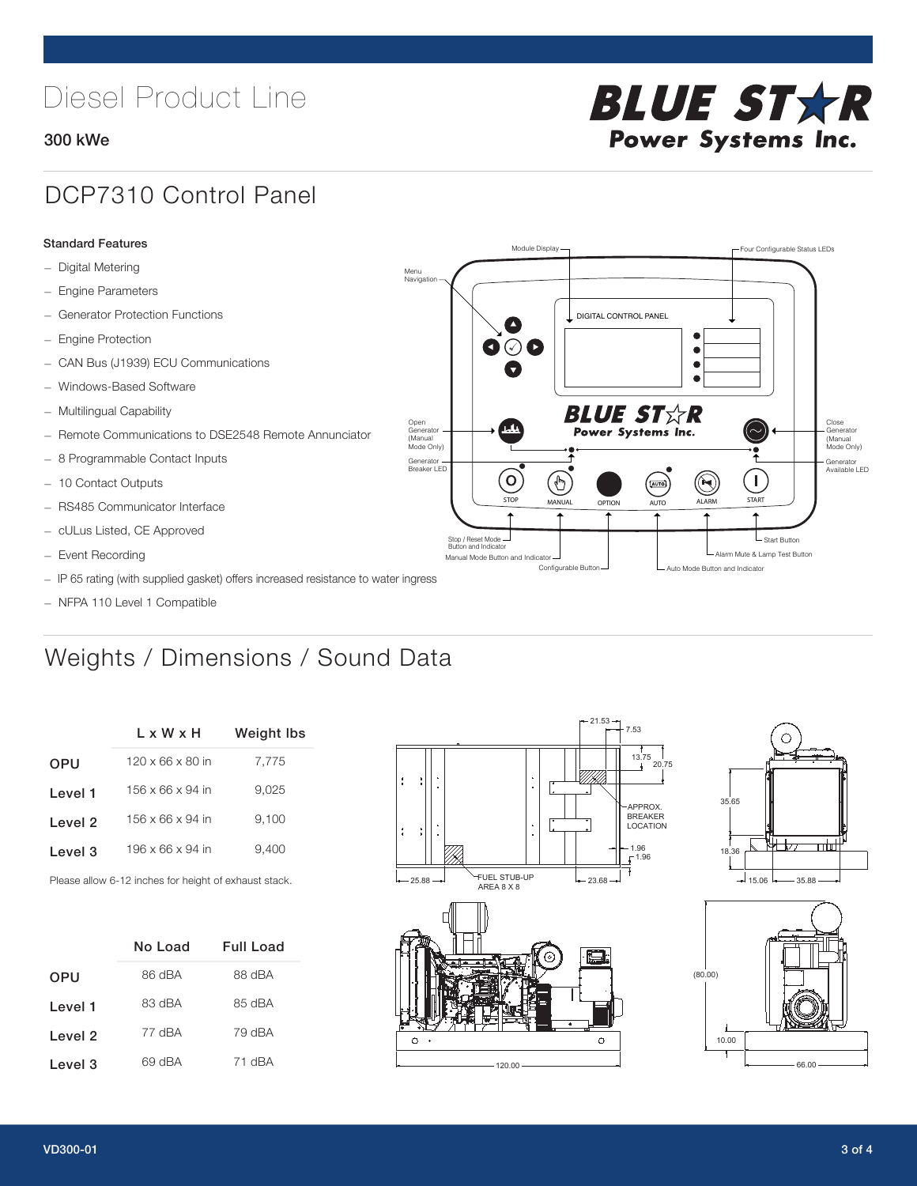# Diesel Product Line

### 300 kWe



## DCP7310 Control Panel

#### Standard Features

- Digital Metering
- Engine Parameters
- Generator Protection Functions
- Engine Protection
- CAN Bus (J1939) ECU Communications
- Windows-Based Software
- Multilingual Capability
- Remote Communications to DSE2548 Remote Annunciator
- 8 Programmable Contact Inputs
- 10 Contact Outputs
- RS485 Communicator Interface
- cULus Listed, CE Approved
- Event Recording
- IP 65 rating (with supplied gasket) offers increased resistance to water ingress
- NFPA 110 Level 1 Compatible

## Weights / Dimensions / Sound Data

|            | L x W x H                    | <b>Weight lbs</b> |  |
|------------|------------------------------|-------------------|--|
| <b>OPU</b> | $120 \times 66 \times 80$ in | 7,775             |  |
| Level 1    | $156 \times 66 \times 94$ in | 9.025             |  |
| Level 2    | 156 x 66 x 94 in             | 9,100             |  |
| Level 3    | 196 x 66 x 94 in             | 9,400             |  |
|            |                              |                   |  |

Please allow 6-12 inches for height of exhaust stack.

|         | No Load | Full Load |  |  |
|---------|---------|-----------|--|--|
| OPU     | 86 dBA  | 88 dBA    |  |  |
| Level 1 | 83 dBA  | 85 dBA    |  |  |
| Level 2 | 77 dBA  | 79 dBA    |  |  |
| Level 3 | 69 dBA  | 71 dBA    |  |  |



STOP MANUAL OPTION AUTO ALARM START

[AUTO]

**BLUE STAR** Power Systems Inc.

Manual Mode Button and Indicator Sultane Mute & Lamp Test Button Mute & Lamp Test Button Mute & Lamp Test Button Configurable Button -  $\Box$  Auto Mode Button and Indicator

DIGITAL CONTROL PANEL

Module Display  $\Box$ 

 $\bullet$  $\bullet$  $\bullet$ 

 $\circledcirc$ 

Menu Navigation

Open Generator (Manual Mode Only)

Generator Breaker LED

Stop / Reset Mode Button and Indicator

 $\bullet$  $\bullet$   $\circ$   $\bullet$ 

 $\sigma$ 

՟Պ



L Start Button

 $\blacksquare$ 

Close Generator (Manual Mode Only)

Generator Available LED





66.00